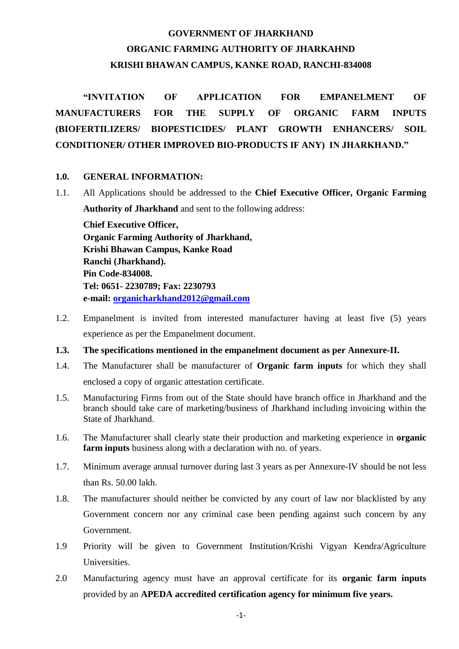# **GOVERNMENT OF JHARKHAND ORGANIC FARMING AUTHORITY OF JHARKAHND KRISHI BHAWAN CAMPUS, KANKE ROAD, RANCHI-834008**

**"INVITATION OF APPLICATION FOR EMPANELMENT OF MANUFACTURERS FOR THE SUPPLY OF ORGANIC FARM INPUTS (BIOFERTILIZERS/ BIOPESTICIDES/ PLANT GROWTH ENHANCERS/ SOIL CONDITIONER/ OTHER IMPROVED BIO-PRODUCTS IF ANY) IN JHARKHAND."**

#### **1.0. GENERAL INFORMATION:**

- 1.1. All Applications should be addressed to the **Chief Executive Officer, Organic Farming Authority of Jharkhand** and sent to the following address: **Chief Executive Officer, Organic Farming Authority of Jharkhand, Krishi Bhawan Campus, Kanke Road Ranchi (Jharkhand). Pin Code-834008. Tel: 0651- 2230789; Fax: 2230793 e-mail: [organicharkhand2012@gmail.com](mailto:organicharkhand2012@gmail.com)**
- 1.2. Empanelment is invited from interested manufacturer having at least five (5) years experience as per the Empanelment document.
- **1.3. The specifications mentioned in the empanelment document as per Annexure-II.**
- 1.4. The Manufacturer shall be manufacturer of **Organic farm inputs** for which they shall enclosed a copy of organic attestation certificate.
- 1.5. Manufacturing Firms from out of the State should have branch office in Jharkhand and the branch should take care of marketing/business of Jharkhand including invoicing within the State of Jharkhand.
- 1.6. The Manufacturer shall clearly state their production and marketing experience in **organic farm inputs** business along with a declaration with no. of years.
- 1.7. Minimum average annual turnover during last 3 years as per Annexure-IV should be not less than Rs. 50.00 lakh.
- 1.8. The manufacturer should neither be convicted by any court of law nor blacklisted by any Government concern nor any criminal case been pending against such concern by any Government.
- 1.9 Priority will be given to Government Institution/Krishi Vigyan Kendra/Agriculture **Universities.**
- 2.0 Manufacturing agency must have an approval certificate for its **organic farm inputs**  provided by an **APEDA accredited certification agency for minimum five years.**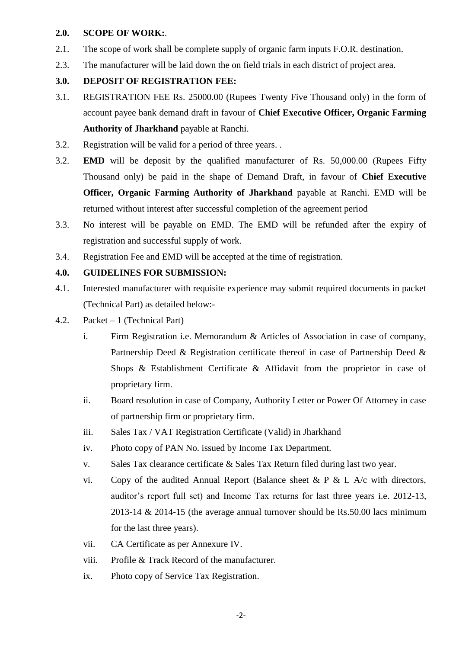#### **2.0. SCOPE OF WORK:**.

- 2.1. The scope of work shall be complete supply of organic farm inputs F.O.R. destination.
- 2.3. The manufacturer will be laid down the on field trials in each district of project area.

# **3.0. DEPOSIT OF REGISTRATION FEE:**

- 3.1. REGISTRATION FEE Rs. 25000.00 (Rupees Twenty Five Thousand only) in the form of account payee bank demand draft in favour of **Chief Executive Officer, Organic Farming Authority of Jharkhand** payable at Ranchi.
- 3.2. Registration will be valid for a period of three years. .
- 3.2. **EMD** will be deposit by the qualified manufacturer of Rs. 50,000.00 (Rupees Fifty Thousand only) be paid in the shape of Demand Draft, in favour of **Chief Executive Officer, Organic Farming Authority of Jharkhand** payable at Ranchi. EMD will be returned without interest after successful completion of the agreement period
- 3.3. No interest will be payable on EMD. The EMD will be refunded after the expiry of registration and successful supply of work.
- 3.4. Registration Fee and EMD will be accepted at the time of registration.

### **4.0. GUIDELINES FOR SUBMISSION:**

- 4.1. Interested manufacturer with requisite experience may submit required documents in packet (Technical Part) as detailed below:-
- 4.2. Packet 1 (Technical Part)
	- i. Firm Registration i.e. Memorandum & Articles of Association in case of company, Partnership Deed & Registration certificate thereof in case of Partnership Deed & Shops & Establishment Certificate & Affidavit from the proprietor in case of proprietary firm.
	- ii. Board resolution in case of Company, Authority Letter or Power Of Attorney in case of partnership firm or proprietary firm.
	- iii. Sales Tax / VAT Registration Certificate (Valid) in Jharkhand
	- iv. Photo copy of PAN No. issued by Income Tax Department.
	- v. Sales Tax clearance certificate & Sales Tax Return filed during last two year.
	- vi. Copy of the audited Annual Report (Balance sheet & P & L A/c with directors, auditor's report full set) and Income Tax returns for last three years i.e. 2012-13, 2013-14 & 2014-15 (the average annual turnover should be Rs.50.00 lacs minimum for the last three years).
	- vii. CA Certificate as per Annexure IV.
	- viii. Profile & Track Record of the manufacturer.
	- ix. Photo copy of Service Tax Registration.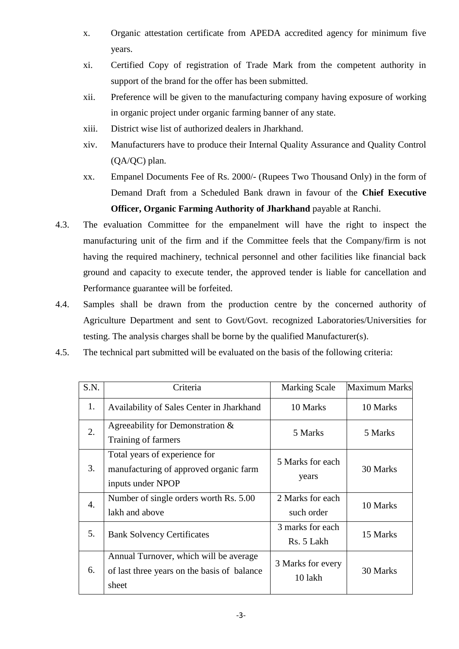- x. Organic attestation certificate from APEDA accredited agency for minimum five years.
- xi. Certified Copy of registration of Trade Mark from the competent authority in support of the brand for the offer has been submitted.
- xii. Preference will be given to the manufacturing company having exposure of working in organic project under organic farming banner of any state.
- xiii. District wise list of authorized dealers in Jharkhand.
- xiv. Manufacturers have to produce their Internal Quality Assurance and Quality Control (QA/QC) plan.
- xx. Empanel Documents Fee of Rs. 2000/- (Rupees Two Thousand Only) in the form of Demand Draft from a Scheduled Bank drawn in favour of the **Chief Executive Officer, Organic Farming Authority of Jharkhand** payable at Ranchi.
- 4.3. The evaluation Committee for the empanelment will have the right to inspect the manufacturing unit of the firm and if the Committee feels that the Company/firm is not having the required machinery, technical personnel and other facilities like financial back ground and capacity to execute tender, the approved tender is liable for cancellation and Performance guarantee will be forfeited.
- 4.4. Samples shall be drawn from the production centre by the concerned authority of Agriculture Department and sent to Govt/Govt. recognized Laboratories/Universities for testing. The analysis charges shall be borne by the qualified Manufacturer(s).
- 4.5. The technical part submitted will be evaluated on the basis of the following criteria:

| S.N.             | Criteria                                                                                       | <b>Marking Scale</b>           | <b>Maximum Marks</b> |
|------------------|------------------------------------------------------------------------------------------------|--------------------------------|----------------------|
| 1.               | Availability of Sales Center in Jharkhand                                                      | 10 Marks                       | 10 Marks             |
| 2.               | Agreeability for Demonstration &<br>Training of farmers                                        | 5 Marks                        | 5 Marks              |
| 3.               | Total years of experience for<br>manufacturing of approved organic farm<br>inputs under NPOP   | 5 Marks for each<br>years      | 30 Marks             |
| $\overline{4}$ . | Number of single orders worth Rs. 5.00<br>lakh and above                                       | 2 Marks for each<br>such order | 10 Marks             |
| 5.               | <b>Bank Solvency Certificates</b>                                                              | 3 marks for each<br>Rs. 5 Lakh | 15 Marks             |
| 6.               | Annual Turnover, which will be average<br>of last three years on the basis of balance<br>sheet | 3 Marks for every<br>10 lakh   | 30 Marks             |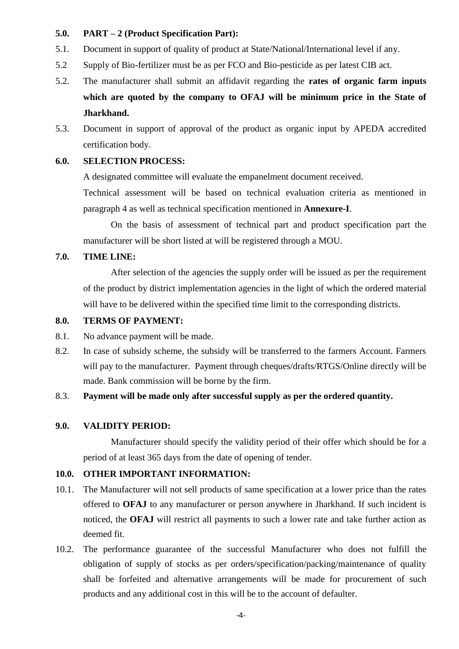#### **5.0. PART – 2 (Product Specification Part):**

- 5.1. Document in support of quality of product at State/National/International level if any.
- 5.2 Supply of Bio-fertilizer must be as per FCO and Bio-pesticide as per latest CIB act.
- 5.2. The manufacturer shall submit an affidavit regarding the **rates of organic farm inputs which are quoted by the company to OFAJ will be minimum price in the State of Jharkhand.**
- 5.3. Document in support of approval of the product as organic input by APEDA accredited certification body.

## **6.0. SELECTION PROCESS:**

A designated committee will evaluate the empanelment document received.

Technical assessment will be based on technical evaluation criteria as mentioned in paragraph 4 as well as technical specification mentioned in **Annexure-I**.

On the basis of assessment of technical part and product specification part the manufacturer will be short listed at will be registered through a MOU.

# **7.0. TIME LINE:**

After selection of the agencies the supply order will be issued as per the requirement of the product by district implementation agencies in the light of which the ordered material will have to be delivered within the specified time limit to the corresponding districts.

### **8.0. TERMS OF PAYMENT:**

- 8.1. No advance payment will be made.
- 8.2. In case of subsidy scheme, the subsidy will be transferred to the farmers Account. Farmers will pay to the manufacturer. Payment through cheques/drafts/RTGS/Online directly will be made. Bank commission will be borne by the firm.

# 8.3. **Payment will be made only after successful supply as per the ordered quantity.**

#### **9.0. VALIDITY PERIOD:**

Manufacturer should specify the validity period of their offer which should be for a period of at least 365 days from the date of opening of tender.

# **10.0. OTHER IMPORTANT INFORMATION:**

- 10.1. The Manufacturer will not sell products of same specification at a lower price than the rates offered to **OFAJ** to any manufacturer or person anywhere in Jharkhand. If such incident is noticed, the **OFAJ** will restrict all payments to such a lower rate and take further action as deemed fit.
- 10.2. The performance guarantee of the successful Manufacturer who does not fulfill the obligation of supply of stocks as per orders/specification/packing/maintenance of quality shall be forfeited and alternative arrangements will be made for procurement of such products and any additional cost in this will be to the account of defaulter.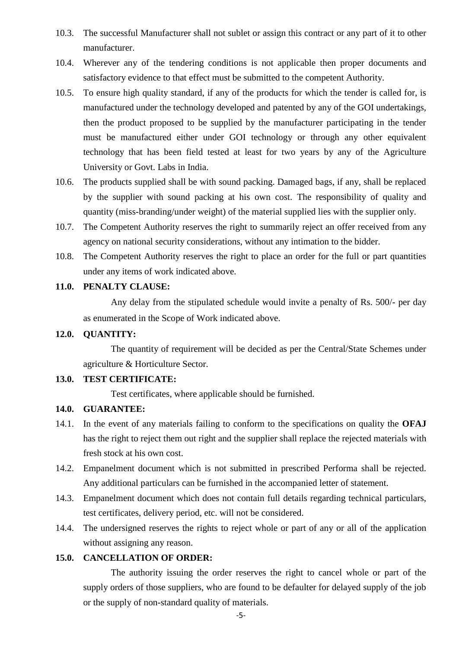- 10.3. The successful Manufacturer shall not sublet or assign this contract or any part of it to other manufacturer.
- 10.4. Wherever any of the tendering conditions is not applicable then proper documents and satisfactory evidence to that effect must be submitted to the competent Authority.
- 10.5. To ensure high quality standard, if any of the products for which the tender is called for, is manufactured under the technology developed and patented by any of the GOI undertakings, then the product proposed to be supplied by the manufacturer participating in the tender must be manufactured either under GOI technology or through any other equivalent technology that has been field tested at least for two years by any of the Agriculture University or Govt. Labs in India.
- 10.6. The products supplied shall be with sound packing. Damaged bags, if any, shall be replaced by the supplier with sound packing at his own cost. The responsibility of quality and quantity (miss-branding/under weight) of the material supplied lies with the supplier only.
- 10.7. The Competent Authority reserves the right to summarily reject an offer received from any agency on national security considerations, without any intimation to the bidder.
- 10.8. The Competent Authority reserves the right to place an order for the full or part quantities under any items of work indicated above.

## **11.0. PENALTY CLAUSE:**

Any delay from the stipulated schedule would invite a penalty of Rs. 500/- per day as enumerated in the Scope of Work indicated above.

# **12.0. QUANTITY:**

The quantity of requirement will be decided as per the Central/State Schemes under agriculture & Horticulture Sector.

## **13.0. TEST CERTIFICATE:**

Test certificates, where applicable should be furnished.

## **14.0. GUARANTEE:**

- 14.1. In the event of any materials failing to conform to the specifications on quality the **OFAJ** has the right to reject them out right and the supplier shall replace the rejected materials with fresh stock at his own cost.
- 14.2. Empanelment document which is not submitted in prescribed Performa shall be rejected. Any additional particulars can be furnished in the accompanied letter of statement.
- 14.3. Empanelment document which does not contain full details regarding technical particulars, test certificates, delivery period, etc. will not be considered.
- 14.4. The undersigned reserves the rights to reject whole or part of any or all of the application without assigning any reason.

#### **15.0. CANCELLATION OF ORDER:**

The authority issuing the order reserves the right to cancel whole or part of the supply orders of those suppliers, who are found to be defaulter for delayed supply of the job or the supply of non-standard quality of materials.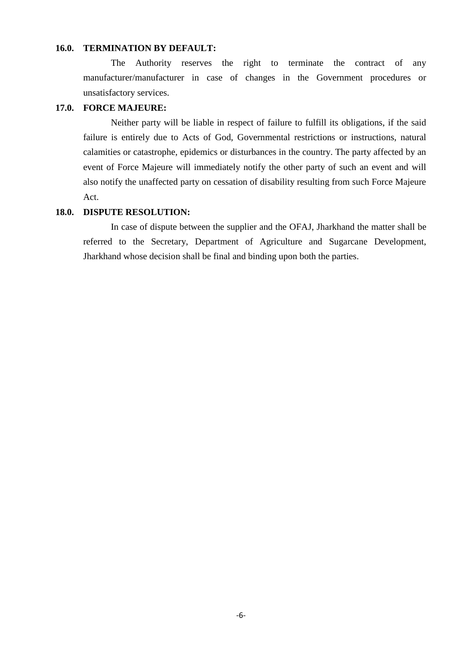#### **16.0. TERMINATION BY DEFAULT:**

The Authority reserves the right to terminate the contract of any manufacturer/manufacturer in case of changes in the Government procedures or unsatisfactory services.

# **17.0. FORCE MAJEURE:**

Neither party will be liable in respect of failure to fulfill its obligations, if the said failure is entirely due to Acts of God, Governmental restrictions or instructions, natural calamities or catastrophe, epidemics or disturbances in the country. The party affected by an event of Force Majeure will immediately notify the other party of such an event and will also notify the unaffected party on cessation of disability resulting from such Force Majeure Act.

### **18.0. DISPUTE RESOLUTION:**

In case of dispute between the supplier and the OFAJ, Jharkhand the matter shall be referred to the Secretary, Department of Agriculture and Sugarcane Development, Jharkhand whose decision shall be final and binding upon both the parties.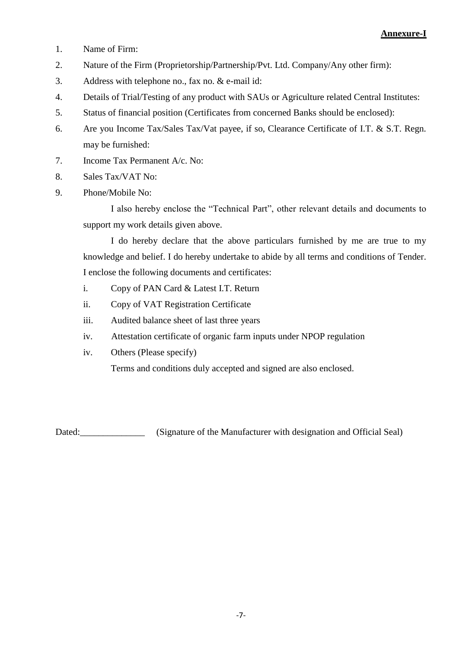- 1. Name of Firm:
- 2. Nature of the Firm (Proprietorship/Partnership/Pvt. Ltd. Company/Any other firm):
- 3. Address with telephone no., fax no. & e-mail id:
- 4. Details of Trial/Testing of any product with SAUs or Agriculture related Central Institutes:
- 5. Status of financial position (Certificates from concerned Banks should be enclosed):
- 6. Are you Income Tax/Sales Tax/Vat payee, if so, Clearance Certificate of I.T. & S.T. Regn. may be furnished:
- 7. Income Tax Permanent A/c. No:
- 8. Sales Tax/VAT No:
- 9. Phone/Mobile No:

I also hereby enclose the "Technical Part", other relevant details and documents to support my work details given above.

I do hereby declare that the above particulars furnished by me are true to my knowledge and belief. I do hereby undertake to abide by all terms and conditions of Tender. I enclose the following documents and certificates:

- i. Copy of PAN Card & Latest I.T. Return
- ii. Copy of VAT Registration Certificate
- iii. Audited balance sheet of last three years
- iv. Attestation certificate of organic farm inputs under NPOP regulation
- iv. Others (Please specify)

Terms and conditions duly accepted and signed are also enclosed.

Dated: (Signature of the Manufacturer with designation and Official Seal)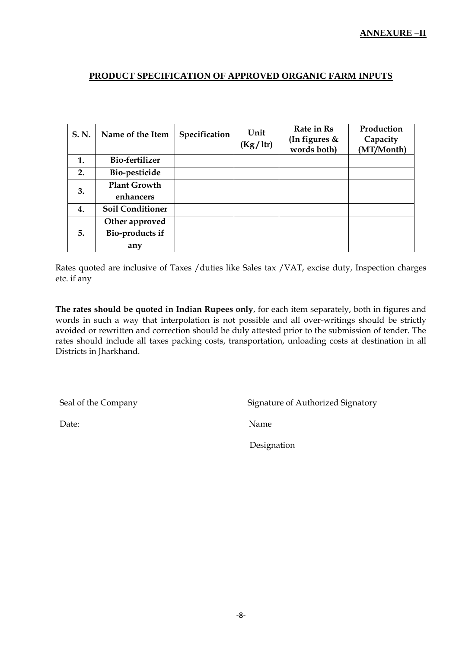# **PRODUCT SPECIFICATION OF APPROVED ORGANIC FARM INPUTS**

| S.N. | Name of the Item        | Specification | Unit<br>(Kg/ltr) | Rate in Rs<br>(In figures &<br>words both) | Production<br>Capacity<br>(MT/Month) |
|------|-------------------------|---------------|------------------|--------------------------------------------|--------------------------------------|
| 1.   | Bio-fertilizer          |               |                  |                                            |                                      |
| 2.   | Bio-pesticide           |               |                  |                                            |                                      |
| 3.   | <b>Plant Growth</b>     |               |                  |                                            |                                      |
|      | enhancers               |               |                  |                                            |                                      |
| 4.   | <b>Soil Conditioner</b> |               |                  |                                            |                                      |
| 5.   | Other approved          |               |                  |                                            |                                      |
|      | Bio-products if         |               |                  |                                            |                                      |
|      | any                     |               |                  |                                            |                                      |

Rates quoted are inclusive of Taxes /duties like Sales tax /VAT, excise duty, Inspection charges etc. if any

**The rates should be quoted in Indian Rupees only**, for each item separately, both in figures and words in such a way that interpolation is not possible and all over-writings should be strictly avoided or rewritten and correction should be duly attested prior to the submission of tender. The rates should include all taxes packing costs, transportation, unloading costs at destination in all Districts in Jharkhand.

Seal of the Company Signature of Authorized Signatory

Date: Name

Designation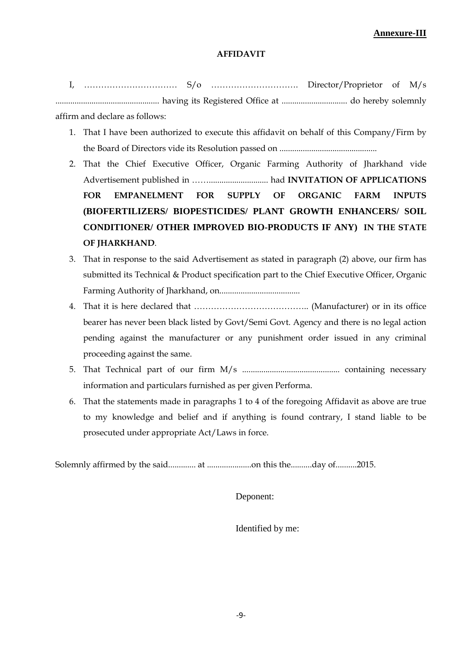#### **AFFIDAVIT**

I, …………………………… S/o …………………………. Director/Proprietor of M/s ................................................. having its Registered Office at ............................... do hereby solemnly affirm and declare as follows:

- 1. That I have been authorized to execute this affidavit on behalf of this Company/Firm by the Board of Directors vide its Resolution passed on ..............................................
- 2. That the Chief Executive Officer, Organic Farming Authority of Jharkhand vide Advertisement published in ……............................ had **INVITATION OF APPLICATIONS FOR EMPANELMENT FOR SUPPLY OF ORGANIC FARM INPUTS (BIOFERTILIZERS/ BIOPESTICIDES/ PLANT GROWTH ENHANCERS/ SOIL CONDITIONER/ OTHER IMPROVED BIO-PRODUCTS IF ANY) IN THE STATE OF JHARKHAND**.
- 3. That in response to the said Advertisement as stated in paragraph (2) above, our firm has submitted its Technical & Product specification part to the Chief Executive Officer, Organic Farming Authority of Jharkhand, on......................................
- 4. That it is here declared that ………………………………….. (Manufacturer) or in its office bearer has never been black listed by Govt/Semi Govt. Agency and there is no legal action pending against the manufacturer or any punishment order issued in any criminal proceeding against the same.
- 5. That Technical part of our firm M/s .............................................. containing necessary information and particulars furnished as per given Performa.
- 6. That the statements made in paragraphs 1 to 4 of the foregoing Affidavit as above are true to my knowledge and belief and if anything is found contrary, I stand liable to be prosecuted under appropriate Act/Laws in force.

Solemnly affirmed by the said............. at .....................on this the..........day of..........2015.

Deponent:

Identified by me: